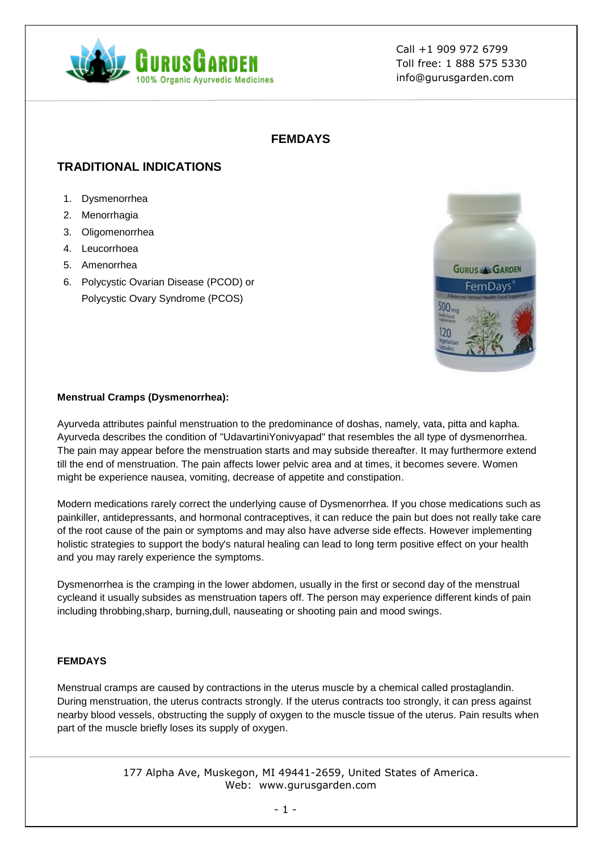

## **FEMDAYS**

# **TRADITIONAL INDICATIONS**

- 1. Dysmenorrhea
- 2. Menorrhagia
- 3. Oligomenorrhea
- 4. Leucorrhoea
- 5. Amenorrhea
- 6. Polycystic Ovarian Disease (PCOD) or Polycystic Ovary Syndrome (PCOS)



### **Menstrual Cramps (Dysmenorrhea):**

Ayurveda attributes painful menstruation to the predominance of doshas, namely, vata, pitta and kapha. Ayurveda describes the condition of "UdavartiniYonivyapad" that resembles the all type of dysmenorrhea. The pain may appear before the menstruation starts and may subside thereafter. It may furthermore extend till the end of menstruation. The pain affects lower pelvic area and at times, it becomes severe. Women might be experience nausea, vomiting, decrease of appetite and constipation.

Modern medications rarely correct the underlying cause of Dysmenorrhea. If you chose medications such as painkiller, antidepressants, and hormonal contraceptives, it can reduce the pain but does not really take care of the root cause of the pain or symptoms and may also have adverse side effects. However implementing holistic strategies to support the body's natural healing can lead to long term positive effect on your health and you may rarely experience the symptoms.

Dysmenorrhea is the cramping in the lower abdomen, usually in the first or second day of the menstrual cycleand it usually subsides as menstruation tapers off. The person may experience different kinds of pain including throbbing,sharp, burning,dull, nauseating or shooting pain and mood swings.

### **FEMDAYS**

Menstrual cramps are caused by contractions in the uterus muscle by a chemical called prostaglandin. During menstruation, the uterus contracts strongly. If the uterus contracts too strongly, it can press against nearby blood vessels, obstructing the supply of oxygen to the muscle tissue of the uterus. Pain results when part of the muscle briefly loses its supply of oxygen.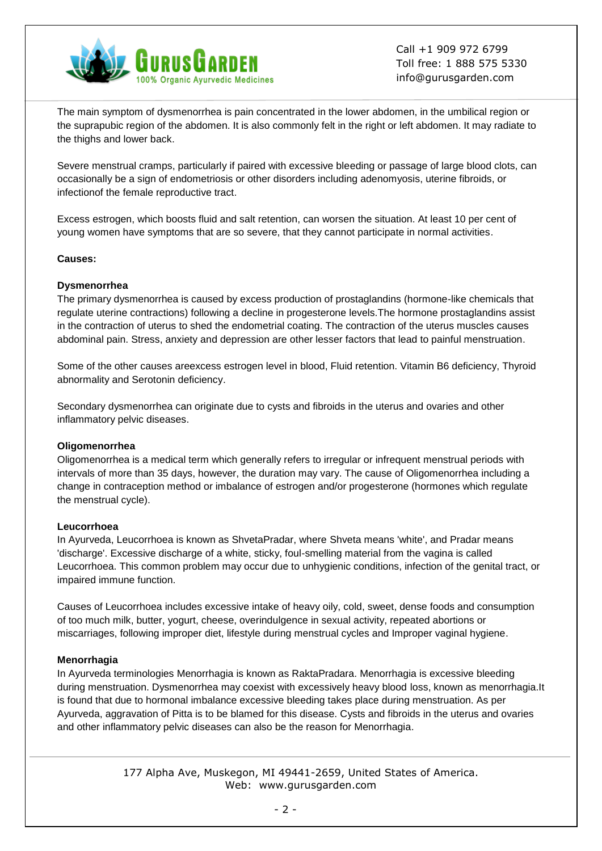

The main symptom of dysmenorrhea is pain concentrated in the lower abdomen, in the umbilical region or the suprapubic region of the abdomen. It is also commonly felt in the right or left abdomen. It may radiate to the thighs and lower back.

Severe menstrual cramps, particularly if paired with excessive bleeding or passage of large blood clots, can occasionally be a sign of endometriosis or other disorders including adenomyosis, uterine fibroids, or infectionof the female reproductive tract.

Excess estrogen, which boosts fluid and salt retention, can worsen the situation. At least 10 per cent of young women have symptoms that are so severe, that they cannot participate in normal activities.

#### **Causes:**

#### **Dysmenorrhea**

The primary dysmenorrhea is caused by excess production of prostaglandins (hormone-like chemicals that regulate uterine contractions) following a decline in progesterone levels.The hormone prostaglandins assist in the contraction of uterus to shed the endometrial coating. The contraction of the uterus muscles causes abdominal pain. Stress, anxiety and depression are other lesser factors that lead to painful menstruation.

Some of the other causes areexcess estrogen level in blood, Fluid retention. Vitamin B6 deficiency, Thyroid abnormality and Serotonin deficiency.

Secondary dysmenorrhea can originate due to cysts and fibroids in the uterus and ovaries and other inflammatory pelvic diseases.

#### **Oligomenorrhea**

Oligomenorrhea is a medical term which generally refers to irregular or infrequent menstrual periods with intervals of more than 35 days, however, the duration may vary. The cause of Oligomenorrhea including a change in contraception method or imbalance of estrogen and/or progesterone (hormones which regulate the menstrual cycle).

#### **Leucorrhoea**

In Ayurveda, Leucorrhoea is known as ShvetaPradar, where Shveta means 'white', and Pradar means 'discharge'. Excessive discharge of a white, sticky, foul-smelling material from the vagina is called Leucorrhoea. This common problem may occur due to unhygienic conditions, infection of the genital tract, or impaired immune function.

Causes of Leucorrhoea includes excessive intake of heavy oily, cold, sweet, dense foods and consumption of too much milk, butter, yogurt, cheese, overindulgence in sexual activity, repeated abortions or miscarriages, following improper diet, lifestyle during menstrual cycles and Improper vaginal hygiene.

#### **Menorrhagia**

In Ayurveda terminologies Menorrhagia is known as RaktaPradara. Menorrhagia is excessive bleeding during menstruation. Dysmenorrhea may coexist with excessively heavy blood loss, known as menorrhagia.It is found that due to hormonal imbalance excessive bleeding takes place during menstruation. As per Ayurveda, aggravation of Pitta is to be blamed for this disease. Cysts and fibroids in the uterus and ovaries and other inflammatory pelvic diseases can also be the reason for Menorrhagia.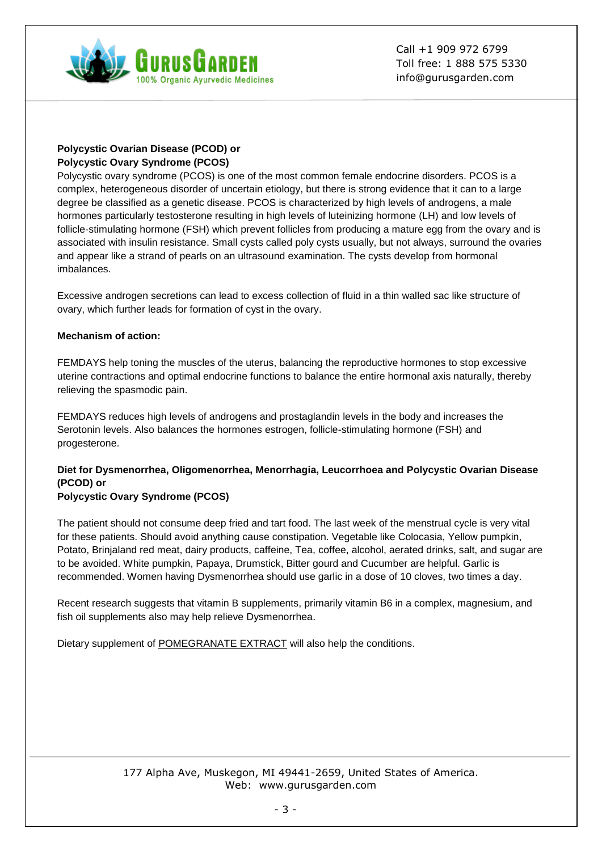

## **Polycystic Ovarian Disease (PCOD) or Polycystic Ovary Syndrome (PCOS)**

Polycystic ovary syndrome (PCOS) is one of the most common female endocrine disorders. PCOS is a complex, heterogeneous disorder of uncertain etiology, but there is strong evidence that it can to a large degree be classified as a genetic disease. PCOS is characterized by high levels of androgens, a male hormones particularly testosterone resulting in high levels of luteinizing hormone (LH) and low levels of follicle-stimulating hormone (FSH) which prevent follicles from producing a mature egg from the ovary and is associated with insulin resistance. Small cysts called poly cysts usually, but not always, surround the ovaries and appear like a strand of pearls on an ultrasound examination. The cysts develop from hormonal imbalances.

Excessive androgen secretions can lead to excess collection of fluid in a thin walled sac like structure of ovary, which further leads for formation of cyst in the ovary.

### **Mechanism of action:**

FEMDAYS help toning the muscles of the uterus, balancing the reproductive hormones to stop excessive uterine contractions and optimal endocrine functions to balance the entire hormonal axis naturally, thereby relieving the spasmodic pain.

FEMDAYS reduces high levels of androgens and prostaglandin levels in the body and increases the Serotonin levels. Also balances the hormones estrogen, follicle-stimulating hormone (FSH) and progesterone.

# **Diet for Dysmenorrhea, Oligomenorrhea, Menorrhagia, Leucorrhoea and Polycystic Ovarian Disease (PCOD) or**

### **Polycystic Ovary Syndrome (PCOS)**

The patient should not consume deep fried and tart food. The last week of the menstrual cycle is very vital for these patients. Should avoid anything cause constipation. Vegetable like Colocasia, Yellow pumpkin, Potato, Brinjaland red meat, dairy products, caffeine, Tea, coffee, alcohol, aerated drinks, salt, and sugar are to be avoided. White pumpkin, Papaya, Drumstick, Bitter gourd and Cucumber are helpful. Garlic is recommended. Women having Dysmenorrhea should use garlic in a dose of 10 cloves, two times a day.

Recent research suggests that vitamin B supplements, primarily vitamin B6 in a complex, magnesium, and fish oil supplements also may help relieve Dysmenorrhea.

Dietary supplement of [POMEGRANATE EXTRACT](https://gurusgarden.com/product_details.aspx?Pname=pomegranate/pomegranate) will also help the conditions.